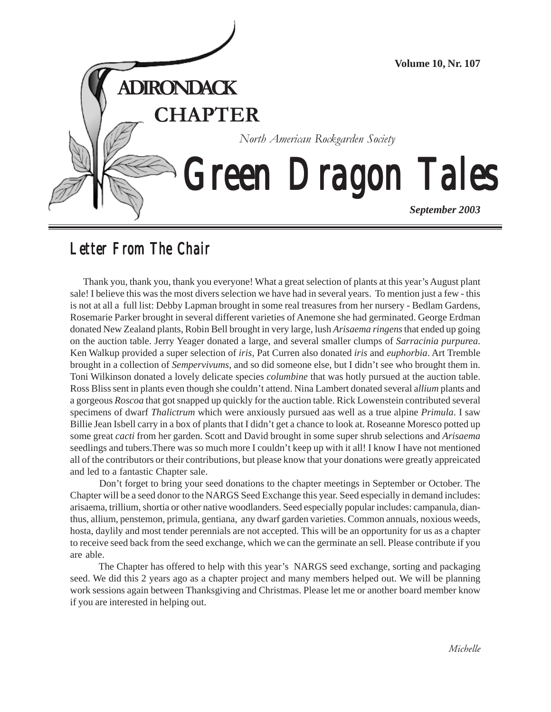

# *Letter From The Chair Letter From The Chair*

Thank you, thank you, thank you everyone! What a great selection of plants at this year's August plant sale! I believe this was the most divers selection we have had in several years. To mention just a few - this is not at all a full list: Debby Lapman brought in some real treasures from her nursery - Bedlam Gardens, Rosemarie Parker brought in several different varieties of Anemone she had germinated. George Erdman donated New Zealand plants, Robin Bell brought in very large, lush *Arisaema ringens* that ended up going on the auction table. Jerry Yeager donated a large, and several smaller clumps of *Sarracinia purpurea*. Ken Walkup provided a super selection of *iris*, Pat Curren also donated *iris* and *euphorbia*. Art Tremble brought in a collection of *Sempervivums*, and so did someone else, but I didn't see who brought them in. Toni Wilkinson donated a lovely delicate species *columbine* that was hotly pursued at the auction table. Ross Bliss sent in plants even though she couldn't attend. Nina Lambert donated several a*llium* plants and a gorgeous *Roscoa* that got snapped up quickly for the auction table. Rick Lowenstein contributed several specimens of dwarf *Thalictrum* which were anxiously pursued aas well as a true alpine *Primula*. I saw Billie Jean Isbell carry in a box of plants that I didn't get a chance to look at. Roseanne Moresco potted up some great *cacti* from her garden. Scott and David brought in some super shrub selections and *Arisaema* seedlings and tubers.There was so much more I couldn't keep up with it all! I know I have not mentioned all of the contributors or their contributions, but please know that your donations were greatly appreicated and led to a fantastic Chapter sale.

 Don't forget to bring your seed donations to the chapter meetings in September or October. The Chapter will be a seed donor to the NARGS Seed Exchange this year. Seed especially in demand includes: arisaema, trillium, shortia or other native woodlanders. Seed especially popular includes: campanula, dianthus, allium, penstemon, primula, gentiana, any dwarf garden varieties. Common annuals, noxious weeds, hosta, daylily and most tender perennials are not accepted. This will be an opportunity for us as a chapter to receive seed back from the seed exchange, which we can the germinate an sell. Please contribute if you are able.

 The Chapter has offered to help with this year's NARGS seed exchange, sorting and packaging seed. We did this 2 years ago as a chapter project and many members helped out. We will be planning work sessions again between Thanksgiving and Christmas. Please let me or another board member know if you are interested in helping out.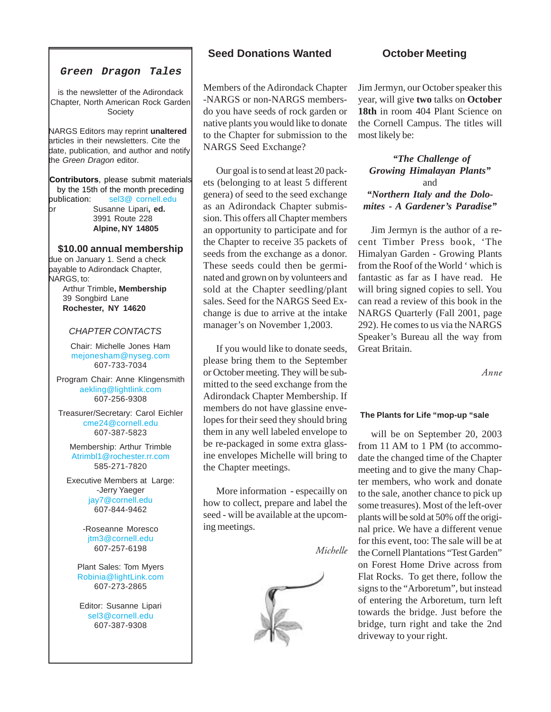# **Green Dragon Tales**

is the newsletter of the Adirondack Chapter, North American Rock Garden Society

NARGS Editors may reprint **unaltered** articles in their newsletters. Cite the date, publication, and author and notify the Green Dragon editor.

**Contributors**, please submit materials by the 15th of the month preceding publication: sel3@ cornell.edu or Susanne Lipari**, ed.** 3991 Route 228 **Alpine, NY 14805**

### **\$10.00 annual membership**

due on January 1. Send a check payable to Adirondack Chapter, NARGS, to: Arthur Trimble**, Membership** 39 Songbird Lane **Rochester, NY 14620**

### CHAPTER CONTACTS

Chair: Michelle Jones Ham [mejonesham@nyseg.com](mailto:mejonesham@nyseg.com) 607-733-7034

Program Chair: Anne Klingensmith [aekling@lightlink.com](mailto:aekling@lightlink.com) 607-256-9308

Treasurer/Secretary: Carol Eichler [cme24@cornell.edu](mailto:cme24@cornell.edu) 607-387-5823

Membership: Arthur Trimble [Atrimbl1@rochester.rr.com](mailto:Atrimbl1@rochester.rr.com) 585-271-7820

Executive Members at Large: -Jerry Yaeger [jay7@cornell.edu](mailto:jay7@cornell.edu) 607-844-9462

> -Roseanne Moresco [jtm3@cornell.edu](mailto:jtm3@cornell.edu) 607-257-6198

Plant Sales: Tom Myers [Robinia@lightLink.com](mailto:Robinia@lightLink.com) 607-273-2865

Editor: Susanne Lipari [sel3@cornell.edu](mailto:sel3@cornell.edu) 607-387-9308

# **Seed Donations Wanted**

Members of the Adirondack Chapter -NARGS or non-NARGS membersdo you have seeds of rock garden or native plants you would like to donate to the Chapter for submission to the NARGS Seed Exchange?

Our goal is to send at least 20 packets (belonging to at least 5 different genera) of seed to the seed exchange as an Adirondack Chapter submission. This offers all Chapter members an opportunity to participate and for the Chapter to receive 35 packets of seeds from the exchange as a donor. These seeds could then be germinated and grown on by volunteers and sold at the Chapter seedling/plant sales. Seed for the NARGS Seed Exchange is due to arrive at the intake manager's on November 1,2003.

If you would like to donate seeds, please bring them to the September or October meeting. They will be submitted to the seed exchange from the Adirondack Chapter Membership. If members do not have glassine envelopes for their seed they should bring them in any well labeled envelope to be re-packaged in some extra glassine envelopes Michelle will bring to the Chapter meetings.

More information - especailly on how to collect, prepare and label the seed - will be available at the upcoming meetings.

*Michelle*



# **October Meeting**

Jim Jermyn, our October speaker this year, will give **two** talks on **October 18th** in room 404 Plant Science on the Cornell Campus. The titles will most likely be:

 *"The Challenge of Growing Himalayan Plants"* and *"Northern Italy and the Dolomites - A Gardener's Paradise"*

Jim Jermyn is the author of a recent Timber Press book, 'The Himalyan Garden - Growing Plants from the Roof of the World ' which is fantastic as far as I have read. He will bring signed copies to sell. You can read a review of this book in the NARGS Quarterly (Fall 2001, page 292). He comes to us via the NARGS Speaker's Bureau all the way from Great Britain.

*Anne*

#### **The Plants for Life "mop-up "sale**

will be on September 20, 2003 from 11 AM to 1 PM (to accommodate the changed time of the Chapter meeting and to give the many Chapter members, who work and donate to the sale, another chance to pick up some treasures). Most of the left-over plants will be sold at 50% off the original price. We have a different venue for this event, too: The sale will be at the Cornell Plantations "Test Garden" on Forest Home Drive across from Flat Rocks. To get there, follow the signs to the "Arboretum", but instead of entering the Arboretum, turn left towards the bridge. Just before the bridge, turn right and take the 2nd driveway to your right.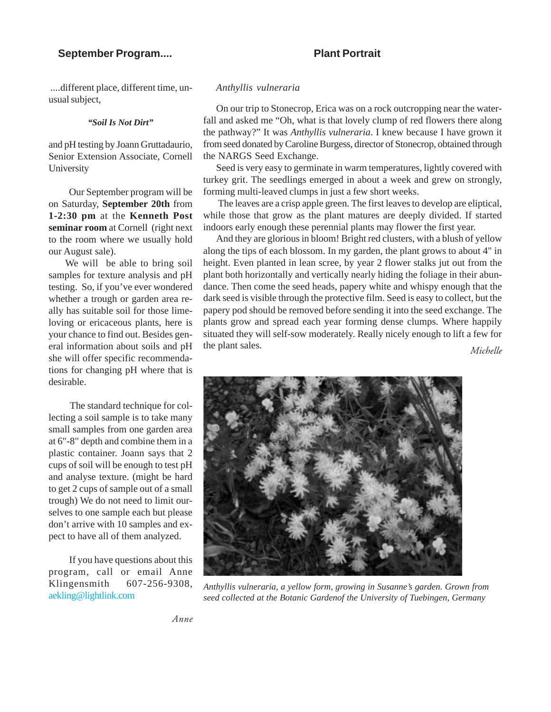## **September Program....**

# **Plant Portrait**

 ....different place, different time, unusual subject,

*"Soil Is Not Dirt"*

and pH testing by Joann Gruttadaurio, Senior Extension Associate, Cornell University

 Our September program will be on Saturday, **September 20th** from **1-2:30 pm** at the **Kenneth Post seminar room** at Cornell (right next to the room where we usually hold our August sale).

 We will be able to bring soil samples for texture analysis and pH testing. So, if you've ever wondered whether a trough or garden area really has suitable soil for those limeloving or ericaceous plants, here is your chance to find out. Besides general information about soils and pH she will offer specific recommendations for changing pH where that is desirable.

 The standard technique for collecting a soil sample is to take many small samples from one garden area at 6"-8" depth and combine them in a plastic container. Joann says that 2 cups of soil will be enough to test pH and analyse texture. (might be hard to get 2 cups of sample out of a small trough) We do not need to limit ourselves to one sample each but please don't arrive with 10 samples and expect to have all of them analyzed.

 If you have questions about this program, call or email Anne Klingensmith 607-256-9308, [aekling@lightlink.com](mailto:aekling@lightlink.com)

#### *Anthyllis vulneraria*

On our trip to Stonecrop, Erica was on a rock outcropping near the waterfall and asked me "Oh, what is that lovely clump of red flowers there along the pathway?" It was *Anthyllis vulneraria*. I knew because I have grown it from seed donated by Caroline Burgess, director of Stonecrop, obtained through the NARGS Seed Exchange.

Seed is very easy to germinate in warm temperatures, lightly covered with turkey grit. The seedlings emerged in about a week and grew on strongly, forming multi-leaved clumps in just a few short weeks.

 The leaves are a crisp apple green. The first leaves to develop are eliptical, while those that grow as the plant matures are deeply divided. If started indoors early enough these perennial plants may flower the first year.

And they are glorious in bloom! Bright red clusters, with a blush of yellow along the tips of each blossom. In my garden, the plant grows to about 4" in height. Even planted in lean scree, by year 2 flower stalks jut out from the plant both horizontally and vertically nearly hiding the foliage in their abundance. Then come the seed heads, papery white and whispy enough that the dark seed is visible through the protective film. Seed is easy to collect, but the papery pod should be removed before sending it into the seed exchange. The plants grow and spread each year forming dense clumps. Where happily situated they will self-sow moderately. Really nicely enough to lift a few for the plant sales. *Michelle*



*Anthyllis vulneraria, a yellow form, growing in Susanne's garden. Grown from seed collected at the Botanic Gardenof the University of Tuebingen, Germany*